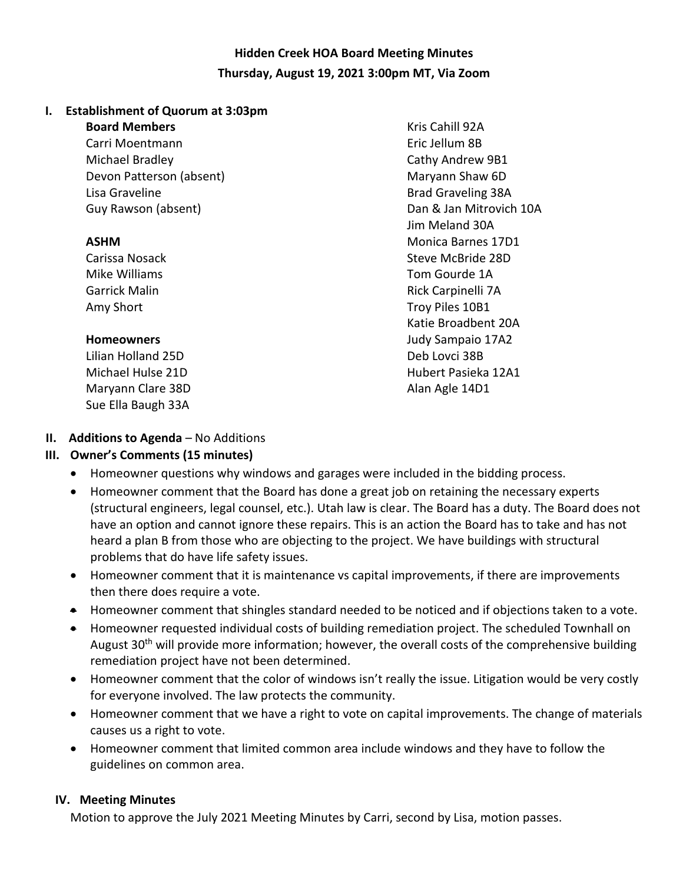# **Hidden Creek HOA Board Meeting Minutes Thursday, August 19, 2021 3:00pm MT, Via Zoom**

#### **I. Establishment of Quorum at 3:03pm**

#### **Board Members**

Carri Moentmann Michael Bradley Devon Patterson (absent) Lisa Graveline Guy Rawson (absent)

#### **ASHM**

Carissa Nosack Mike Williams Garrick Malin Amy Short

#### **Homeowners**

Lilian Holland 25D Michael Hulse 21D Maryann Clare 38D Sue Ella Baugh 33A

Kris Cahill 92A Eric Jellum 8B Cathy Andrew 9B1 Maryann Shaw 6D Brad Graveling 38A Dan & Jan Mitrovich 10A Jim Meland 30A Monica Barnes 17D1 Steve McBride 28D Tom Gourde 1A Rick Carpinelli 7A Troy Piles 10B1 Katie Broadbent 20A Judy Sampaio 17A2 Deb Lovci 38B Hubert Pasieka 12A1 Alan Agle 14D1

# **II. Additions to Agenda** – No Additions

### **III. Owner's Comments (15 minutes)**

- Homeowner questions why windows and garages were included in the bidding process.
- Homeowner comment that the Board has done a great job on retaining the necessary experts (structural engineers, legal counsel, etc.). Utah law is clear. The Board has a duty. The Board does not have an option and cannot ignore these repairs. This is an action the Board has to take and has not heard a plan B from those who are objecting to the project. We have buildings with structural problems that do have life safety issues.
- Homeowner comment that it is maintenance vs capital improvements, if there are improvements then there does require a vote.
- Homeowner comment that shingles standard needed to be noticed and if objections taken to a vote.
- Homeowner requested individual costs of building remediation project. The scheduled Townhall on August 30<sup>th</sup> will provide more information; however, the overall costs of the comprehensive building remediation project have not been determined.
- Homeowner comment that the color of windows isn't really the issue. Litigation would be very costly for everyone involved. The law protects the community.
- Homeowner comment that we have a right to vote on capital improvements. The change of materials causes us a right to vote.
- Homeowner comment that limited common area include windows and they have to follow the guidelines on common area.

### **IV. Meeting Minutes**

Motion to approve the July 2021 Meeting Minutes by Carri, second by Lisa, motion passes.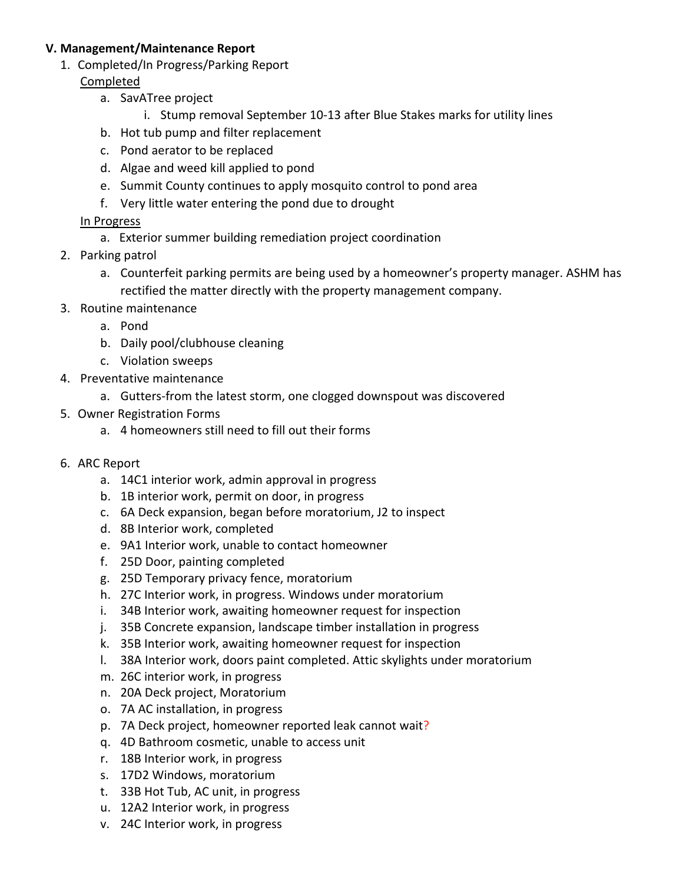#### **V. Management/Maintenance Report**

1. Completed/In Progress/Parking Report

#### Completed

- a. SavATree project
	- i. Stump removal September 10-13 after Blue Stakes marks for utility lines
- b. Hot tub pump and filter replacement
- c. Pond aerator to be replaced
- d. Algae and weed kill applied to pond
- e. Summit County continues to apply mosquito control to pond area
- f. Very little water entering the pond due to drought

### In Progress

- a. Exterior summer building remediation project coordination
- 2. Parking patrol
	- a. Counterfeit parking permits are being used by a homeowner's property manager. ASHM has rectified the matter directly with the property management company.
- 3. Routine maintenance
	- a. Pond
	- b. Daily pool/clubhouse cleaning
	- c. Violation sweeps
- 4. Preventative maintenance
	- a. Gutters-from the latest storm, one clogged downspout was discovered
- 5. Owner Registration Forms
	- a. 4 homeowners still need to fill out their forms
- 6. ARC Report
	- a. 14C1 interior work, admin approval in progress
	- b. 1B interior work, permit on door, in progress
	- c. 6A Deck expansion, began before moratorium, J2 to inspect
	- d. 8B Interior work, completed
	- e. 9A1 Interior work, unable to contact homeowner
	- f. 25D Door, painting completed
	- g. 25D Temporary privacy fence, moratorium
	- h. 27C Interior work, in progress. Windows under moratorium
	- i. 34B Interior work, awaiting homeowner request for inspection
	- j. 35B Concrete expansion, landscape timber installation in progress
	- k. 35B Interior work, awaiting homeowner request for inspection
	- l. 38A Interior work, doors paint completed. Attic skylights under moratorium
	- m. 26C interior work, in progress
	- n. 20A Deck project, Moratorium
	- o. 7A AC installation, in progress
	- p. 7A Deck project, homeowner reported leak cannot wait?
	- q. 4D Bathroom cosmetic, unable to access unit
	- r. 18B Interior work, in progress
	- s. 17D2 Windows, moratorium
	- t. 33B Hot Tub, AC unit, in progress
	- u. 12A2 Interior work, in progress
	- v. 24C Interior work, in progress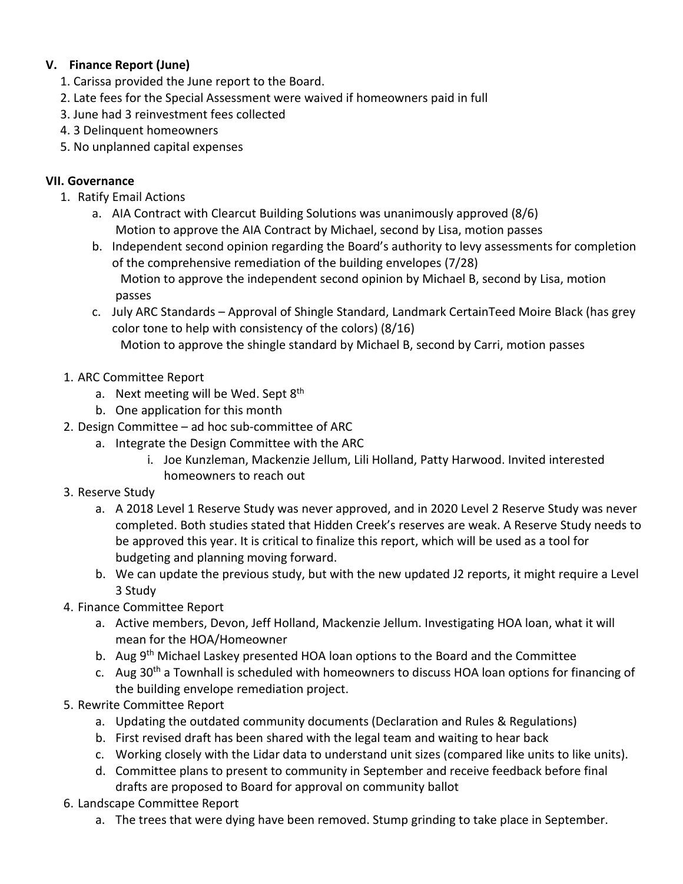# **V. Finance Report (June)**

- 1. Carissa provided the June report to the Board.
- 2. Late fees for the Special Assessment were waived if homeowners paid in full
- 3. June had 3 reinvestment fees collected
- 4. 3 Delinquent homeowners
- 5. No unplanned capital expenses

## **VII. Governance**

- 1. Ratify Email Actions
	- a. AIA Contract with Clearcut Building Solutions was unanimously approved (8/6) Motion to approve the AIA Contract by Michael, second by Lisa, motion passes
	- b. Independent second opinion regarding the Board's authority to levy assessments for completion of the comprehensive remediation of the building envelopes (7/28) Motion to approve the independent second opinion by Michael B, second by Lisa, motion passes
	- c. July ARC Standards Approval of Shingle Standard, Landmark CertainTeed Moire Black (has grey color tone to help with consistency of the colors) (8/16) Motion to approve the shingle standard by Michael B, second by Carri, motion passes
- 1. ARC Committee Report
	- a. Next meeting will be Wed. Sept  $8<sup>th</sup>$
	- b. One application for this month
- 2. Design Committee ad hoc sub-committee of ARC
	- a. Integrate the Design Committee with the ARC
		- i. Joe Kunzleman, Mackenzie Jellum, Lili Holland, Patty Harwood. Invited interested homeowners to reach out
- 3. Reserve Study
	- a. A 2018 Level 1 Reserve Study was never approved, and in 2020 Level 2 Reserve Study was never completed. Both studies stated that Hidden Creek's reserves are weak. A Reserve Study needs to be approved this year. It is critical to finalize this report, which will be used as a tool for budgeting and planning moving forward.
	- b. We can update the previous study, but with the new updated J2 reports, it might require a Level 3 Study
- 4. Finance Committee Report
	- a. Active members, Devon, Jeff Holland, Mackenzie Jellum. Investigating HOA loan, what it will mean for the HOA/Homeowner
	- b. Aug 9<sup>th</sup> Michael Laskey presented HOA loan options to the Board and the Committee
	- c. Aug 30<sup>th</sup> a Townhall is scheduled with homeowners to discuss HOA loan options for financing of the building envelope remediation project.
- 5. Rewrite Committee Report
	- a. Updating the outdated community documents (Declaration and Rules & Regulations)
	- b. First revised draft has been shared with the legal team and waiting to hear back
	- c. Working closely with the Lidar data to understand unit sizes (compared like units to like units).
	- d. Committee plans to present to community in September and receive feedback before final drafts are proposed to Board for approval on community ballot
- 6. Landscape Committee Report
	- a. The trees that were dying have been removed. Stump grinding to take place in September.